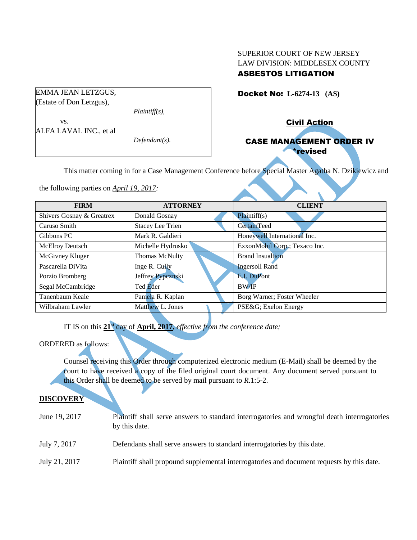# SUPERIOR COURT OF NEW JERSEY LAW DIVISION: MIDDLESEX COUNTY ASBESTOS LITIGATION

Docket No: **L-6274-13 (AS)** 

EMMA JEAN LETZGUS, (Estate of Don Letzgus),

*Plaintiff(s),*

vs. ALFA LAVAL INC., et al

*Defendant(s).*

Civil Action

# CASE MANAGEMENT ORDER IV \*revised

This matter coming in for a Case Management Conference before Special Master Agatha N. Dzikiewicz and

the following parties on *April 19, 2017:*

| <b>FIRM</b>               | <b>ATTORNEY</b>         | <b>CLIENT</b>                 |
|---------------------------|-------------------------|-------------------------------|
| Shivers Gosnay & Greatrex | Donald Gosnay           | Plaintiff(s)                  |
| Caruso Smith              | <b>Stacey Lee Trien</b> | <b>CertainTeed</b>            |
| Gibbons PC                | Mark R. Galdieri        | Honeywell International Inc.  |
| <b>McElroy Deutsch</b>    | Michelle Hydrusko       | ExxonMobil Corp.; Texaco Inc. |
| McGivney Kluger           | Thomas McNulty          | <b>Brand Insualtion</b>       |
| Pascarella DiVita         | Inge R. Cully           | <b>Ingersoll Rand</b>         |
| Porzio Bromberg           | Jeffrey Pypcznski       | E.I. DuPont                   |
| Segal McCambridge         | Ted Eder                | <b>BW/IP</b>                  |
| Tanenbaum Keale           | Pamela R. Kaplan        | Borg Warner; Foster Wheeler   |
| Wilbraham Lawler          | Matthew L. Jones        | PSE&G Exelon Energy           |

IT IS on this **21st** day of **April, 2017**, *effective from the conference date;*

# ORDERED as follows:

Counsel receiving this Order through computerized electronic medium (E-Mail) shall be deemed by the court to have received a copy of the filed original court document. Any document served pursuant to this Order shall be deemed to be served by mail pursuant to *R*.1:5-2.

# **DISCOVERY**

| June 19, 2017 | Plaintiff shall serve answers to standard interrogatories and wrongful death interrogatories<br>by this date. |
|---------------|---------------------------------------------------------------------------------------------------------------|
| July 7, 2017  | Defendants shall serve answers to standard interrogatories by this date.                                      |
| July 21, 2017 | Plaintiff shall propound supplemental interrogatories and document requests by this date.                     |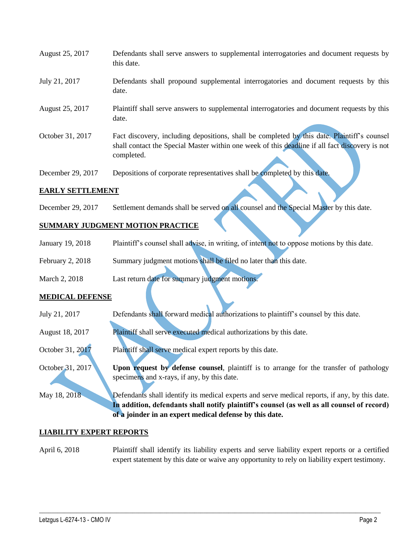| August 25, 2017   | Defendants shall serve answers to supplemental interrogatories and document requests by<br>this date.                                                                                                       |
|-------------------|-------------------------------------------------------------------------------------------------------------------------------------------------------------------------------------------------------------|
| July 21, 2017     | Defendants shall propound supplemental interrogatories and document requests by this<br>date.                                                                                                               |
| August 25, 2017   | Plaintiff shall serve answers to supplemental interrogatories and document requests by this<br>date.                                                                                                        |
| October 31, 2017  | Fact discovery, including depositions, shall be completed by this date. Plaintiff's counsel<br>shall contact the Special Master within one week of this deadline if all fact discovery is not<br>completed. |
| December 29, 2017 | Depositions of corporate representatives shall be completed by this date.                                                                                                                                   |

## **EARLY SETTLEMENT**

December 29, 2017 Settlement demands shall be served on all counsel and the Special Master by this date.

## **SUMMARY JUDGMENT MOTION PRACTICE**

- January 19, 2018 Plaintiff's counsel shall advise, in writing, of intent not to oppose motions by this date.
- February 2, 2018 Summary judgment motions shall be filed no later than this date.
- March 2, 2018 Last return date for summary judgment motions.

#### **MEDICAL DEFENSE**

- July 21, 2017 Defendants shall forward medical authorizations to plaintiff's counsel by this date.
- August 18, 2017 Plaintiff shall serve executed medical authorizations by this date.
- October 31, 2017 Plaintiff shall serve medical expert reports by this date.
- October 31, 2017 **Upon request by defense counsel**, plaintiff is to arrange for the transfer of pathology specimens and x-rays, if any, by this date.

May 18, 2018 Defendants shall identify its medical experts and serve medical reports, if any, by this date. **In addition, defendants shall notify plaintiff's counsel (as well as all counsel of record) of a joinder in an expert medical defense by this date.**

#### **LIABILITY EXPERT REPORTS**

April 6, 2018 Plaintiff shall identify its liability experts and serve liability expert reports or a certified expert statement by this date or waive any opportunity to rely on liability expert testimony.

 $\_$  ,  $\_$  ,  $\_$  ,  $\_$  ,  $\_$  ,  $\_$  ,  $\_$  ,  $\_$  ,  $\_$  ,  $\_$  ,  $\_$  ,  $\_$  ,  $\_$  ,  $\_$  ,  $\_$  ,  $\_$  ,  $\_$  ,  $\_$  ,  $\_$  ,  $\_$  ,  $\_$  ,  $\_$  ,  $\_$  ,  $\_$  ,  $\_$  ,  $\_$  ,  $\_$  ,  $\_$  ,  $\_$  ,  $\_$  ,  $\_$  ,  $\_$  ,  $\_$  ,  $\_$  ,  $\_$  ,  $\_$  ,  $\_$  ,